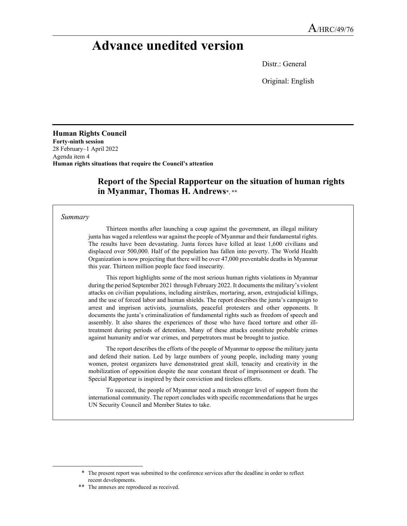# **Advance unedited version**

Distr.: General

Original: English

**Human Rights Council Forty-ninth session**  28 February–1 April 2022 Agenda item 4 **Human rights situations that require the Council's attention** 

## **Report of the Special Rapporteur on the situation of human rights in Myanmar, Thomas H. Andrews**\*, \*\*

#### *Summary*

Thirteen months after launching a coup against the government, an illegal military junta has waged a relentless war against the people of Myanmar and their fundamental rights. The results have been devastating. Junta forces have killed at least 1,600 civilians and displaced over 500,000. Half of the population has fallen into poverty. The World Health Organization is now projecting that there will be over 47,000 preventable deaths in Myanmar this year. Thirteen million people face food insecurity.

This report highlights some of the most serious human rights violations in Myanmar during the period September 2021 through February 2022. It documents the military's violent attacks on civilian populations, including airstrikes, mortaring, arson, extrajudicial killings, and the use of forced labor and human shields. The report describes the junta's campaign to arrest and imprison activists, journalists, peaceful protesters and other opponents. It documents the junta's criminalization of fundamental rights such as freedom of speech and assembly. It also shares the experiences of those who have faced torture and other illtreatment during periods of detention. Many of these attacks constitute probable crimes against humanity and/or war crimes, and perpetrators must be brought to justice.

The report describes the efforts of the people of Myanmar to oppose the military junta and defend their nation. Led by large numbers of young people, including many young women, protest organizers have demonstrated great skill, tenacity and creativity in the mobilization of opposition despite the near constant threat of imprisonment or death. The Special Rapporteur is inspired by their conviction and tireless efforts.

To succeed, the people of Myanmar need a much stronger level of support from the international community. The report concludes with specific recommendations that he urges UN Security Council and Member States to take.

 <sup>\*</sup> The present report was submitted to the conference services after the deadline in order to reflect recent developments.

<sup>\*\*</sup> The annexes are reproduced as received.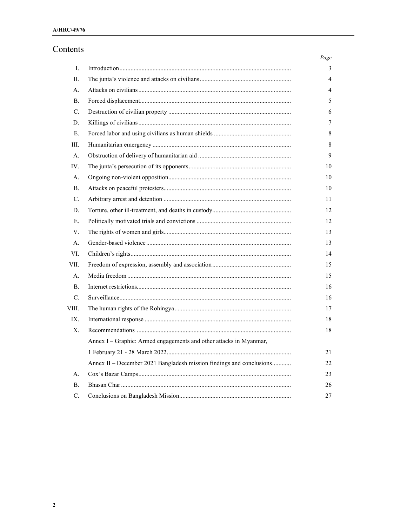# Contents

|                |                                                                      | Page |
|----------------|----------------------------------------------------------------------|------|
| Ι.             |                                                                      | 3    |
| П.             |                                                                      | 4    |
| А.             |                                                                      | 4    |
| В.             |                                                                      | 5    |
| C.             |                                                                      | 6    |
| D.             |                                                                      | 7    |
| Ε.             |                                                                      | 8    |
| Ш.             |                                                                      | 8    |
| А.             |                                                                      | 9    |
| IV.            |                                                                      | 10   |
| A <sub>1</sub> |                                                                      | 10   |
| В.             |                                                                      | 10   |
| $\mathbf{C}$ . |                                                                      | 11   |
| D.             |                                                                      | 12   |
| Ε.             |                                                                      | 12   |
| V.             |                                                                      | 13   |
| A.             |                                                                      | 13   |
| VI.            |                                                                      | 14   |
| VII.           |                                                                      | 15   |
| А.             |                                                                      | 15   |
| <b>B.</b>      |                                                                      | 16   |
| $\mathbf{C}$ . |                                                                      | 16   |
| VIII.          |                                                                      | 17   |
| IX.            |                                                                      | 18   |
| X.             |                                                                      | 18   |
|                | Annex I - Graphic: Armed engagements and other attacks in Myanmar,   |      |
|                |                                                                      | 21   |
|                | Annex II - December 2021 Bangladesh mission findings and conclusions | 22   |
| А.             |                                                                      | 23   |
| Β.             |                                                                      | 26   |
| C.             |                                                                      | 27   |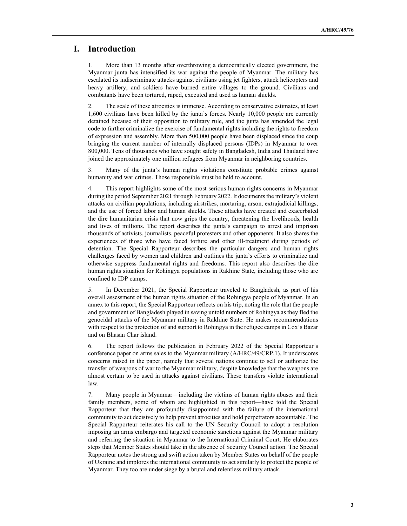## **I. Introduction**

1. More than 13 months after overthrowing a democratically elected government, the Myanmar junta has intensified its war against the people of Myanmar. The military has escalated its indiscriminate attacks against civilians using jet fighters, attack helicopters and heavy artillery, and soldiers have burned entire villages to the ground. Civilians and combatants have been tortured, raped, executed and used as human shields.

2. The scale of these atrocities is immense. According to conservative estimates, at least 1,600 civilians have been killed by the junta's forces. Nearly 10,000 people are currently detained because of their opposition to military rule, and the junta has amended the legal code to further criminalize the exercise of fundamental rights including the rights to freedom of expression and assembly. More than 500,000 people have been displaced since the coup bringing the current number of internally displaced persons (IDPs) in Myanmar to over 800,000. Tens of thousands who have sought safety in Bangladesh, India and Thailand have joined the approximately one million refugees from Myanmar in neighboring countries.

3. Many of the junta's human rights violations constitute probable crimes against humanity and war crimes. Those responsible must be held to account.

4. This report highlights some of the most serious human rights concerns in Myanmar during the period September 2021 through February 2022. It documents the military's violent attacks on civilian populations, including airstrikes, mortaring, arson, extrajudicial killings, and the use of forced labor and human shields. These attacks have created and exacerbated the dire humanitarian crisis that now grips the country, threatening the livelihoods, health and lives of millions. The report describes the junta's campaign to arrest and imprison thousands of activists, journalists, peaceful protesters and other opponents. It also shares the experiences of those who have faced torture and other ill-treatment during periods of detention. The Special Rapporteur describes the particular dangers and human rights challenges faced by women and children and outlines the junta's efforts to criminalize and otherwise suppress fundamental rights and freedoms. This report also describes the dire human rights situation for Rohingya populations in Rakhine State, including those who are confined to IDP camps.

5. In December 2021, the Special Rapporteur traveled to Bangladesh, as part of his overall assessment of the human rights situation of the Rohingya people of Myanmar. In an annex to this report, the Special Rapporteur reflects on his trip, noting the role that the people and government of Bangladesh played in saving untold numbers of Rohingya as they fled the genocidal attacks of the Myanmar military in Rakhine State. He makes recommendations with respect to the protection of and support to Rohingya in the refugee camps in Cox's Bazar and on Bhasan Char island.

6. The report follows the publication in February 2022 of the Special Rapporteur's conference paper on arms sales to the Myanmar military (A/HRC/49/CRP.1). It underscores concerns raised in the paper, namely that several nations continue to sell or authorize the transfer of weapons of war to the Myanmar military, despite knowledge that the weapons are almost certain to be used in attacks against civilians. These transfers violate international law.

7. Many people in Myanmar—including the victims of human rights abuses and their family members, some of whom are highlighted in this report—have told the Special Rapporteur that they are profoundly disappointed with the failure of the international community to act decisively to help prevent atrocities and hold perpetrators accountable. The Special Rapporteur reiterates his call to the UN Security Council to adopt a resolution imposing an arms embargo and targeted economic sanctions against the Myanmar military and referring the situation in Myanmar to the International Criminal Court. He elaborates steps that Member States should take in the absence of Security Council action. The Special Rapporteur notes the strong and swift action taken by Member States on behalf of the people of Ukraine and implores the international community to act similarly to protect the people of Myanmar. They too are under siege by a brutal and relentless military attack.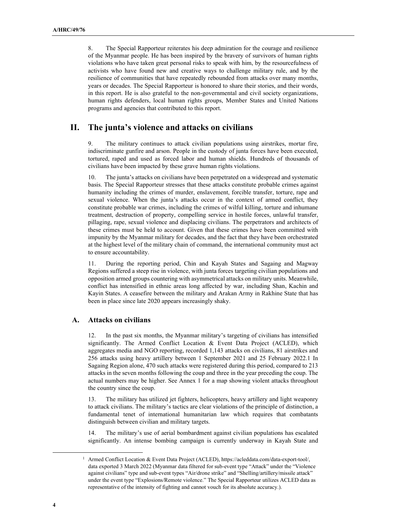8. The Special Rapporteur reiterates his deep admiration for the courage and resilience of the Myanmar people. He has been inspired by the bravery of survivors of human rights violations who have taken great personal risks to speak with him, by the resourcefulness of activists who have found new and creative ways to challenge military rule, and by the resilience of communities that have repeatedly rebounded from attacks over many months, years or decades. The Special Rapporteur is honored to share their stories, and their words, in this report. He is also grateful to the non-governmental and civil society organizations, human rights defenders, local human rights groups, Member States and United Nations programs and agencies that contributed to this report.

## **II. The junta's violence and attacks on civilians**

9. The military continues to attack civilian populations using airstrikes, mortar fire, indiscriminate gunfire and arson. People in the custody of junta forces have been executed, tortured, raped and used as forced labor and human shields. Hundreds of thousands of civilians have been impacted by these grave human rights violations.

10. The junta's attacks on civilians have been perpetrated on a widespread and systematic basis. The Special Rapporteur stresses that these attacks constitute probable crimes against humanity including the crimes of murder, enslavement, forcible transfer, torture, rape and sexual violence. When the junta's attacks occur in the context of armed conflict, they constitute probable war crimes, including the crimes of wilful killing, torture and inhumane treatment, destruction of property, compelling service in hostile forces, unlawful transfer, pillaging, rape, sexual violence and displacing civilians. The perpetrators and architects of these crimes must be held to account. Given that these crimes have been committed with impunity by the Myanmar military for decades, and the fact that they have been orchestrated at the highest level of the military chain of command, the international community must act to ensure accountability.

11. During the reporting period, Chin and Kayah States and Sagaing and Magway Regions suffered a steep rise in violence, with junta forces targeting civilian populations and opposition armed groups countering with asymmetrical attacks on military units. Meanwhile, conflict has intensified in ethnic areas long affected by war, including Shan, Kachin and Kayin States. A ceasefire between the military and Arakan Army in Rakhine State that has been in place since late 2020 appears increasingly shaky.

#### **A. Attacks on civilians**

12. In the past six months, the Myanmar military's targeting of civilians has intensified significantly. The Armed Conflict Location & Event Data Project (ACLED), which aggregates media and NGO reporting, recorded 1,143 attacks on civilians, 81 airstrikes and 256 attacks using heavy artillery between 1 September 2021 and 25 February 2022.1 In Sagaing Region alone, 470 such attacks were registered during this period, compared to 213 attacks in the seven months following the coup and three in the year preceding the coup. The actual numbers may be higher. See Annex 1 for a map showing violent attacks throughout the country since the coup.

13. The military has utilized jet fighters, helicopters, heavy artillery and light weaponry to attack civilians. The military's tactics are clear violations of the principle of distinction, a fundamental tenet of international humanitarian law which requires that combatants distinguish between civilian and military targets.

14. The military's use of aerial bombardment against civilian populations has escalated significantly. An intense bombing campaign is currently underway in Kayah State and

<sup>&</sup>lt;sup>1</sup> Armed Conflict Location & Event Data Project (ACLED), https://acleddata.com/data-export-tool/, data exported 3 March 2022 (Myanmar data filtered for sub-event type "Attack" under the "Violence against civilians" type and sub-event types "Air/drone strike" and "Shelling/artillery/missile attack" under the event type "Explosions/Remote violence." The Special Rapporteur utilizes ACLED data as representative of the intensity of fighting and cannot vouch for its absolute accuracy.).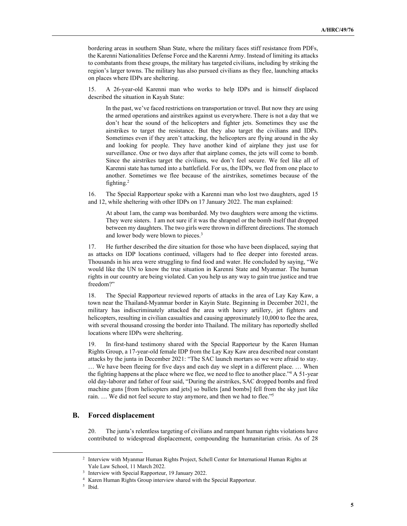bordering areas in southern Shan State, where the military faces stiff resistance from PDFs, the Karenni Nationalities Defense Force and the Karenni Army. Instead of limiting its attacks to combatants from these groups, the military has targeted civilians, including by striking the region's larger towns. The military has also pursued civilians as they flee, launching attacks on places where IDPs are sheltering.

15. A 26-year-old Karenni man who works to help IDPs and is himself displaced described the situation in Kayah State:

In the past, we've faced restrictions on transportation or travel. But now they are using the armed operations and airstrikes against us everywhere. There is not a day that we don't hear the sound of the helicopters and fighter jets. Sometimes they use the airstrikes to target the resistance. But they also target the civilians and IDPs. Sometimes even if they aren't attacking, the helicopters are flying around in the sky and looking for people. They have another kind of airplane they just use for surveillance. One or two days after that airplane comes, the jets will come to bomb. Since the airstrikes target the civilians, we don't feel secure. We feel like all of Karenni state has turned into a battlefield. For us, the IDPs, we fled from one place to another. Sometimes we flee because of the airstrikes, sometimes because of the fighting.<sup>2</sup>

16. The Special Rapporteur spoke with a Karenni man who lost two daughters, aged 15 and 12, while sheltering with other IDPs on 17 January 2022. The man explained:

At about 1am, the camp was bombarded. My two daughters were among the victims. They were sisters. I am not sure if it was the shrapnel or the bomb itself that dropped between my daughters. The two girls were thrown in different directions. The stomach and lower body were blown to pieces.<sup>3</sup>

17. He further described the dire situation for those who have been displaced, saying that as attacks on IDP locations continued, villagers had to flee deeper into forested areas. Thousands in his area were struggling to find food and water. He concluded by saying, "We would like the UN to know the true situation in Karenni State and Myanmar. The human rights in our country are being violated. Can you help us any way to gain true justice and true freedom?"

18. The Special Rapporteur reviewed reports of attacks in the area of Lay Kay Kaw, a town near the Thailand-Myanmar border in Kayin State. Beginning in December 2021, the military has indiscriminately attacked the area with heavy artillery, jet fighters and helicopters, resulting in civilian casualties and causing approximately 10,000 to flee the area, with several thousand crossing the border into Thailand. The military has reportedly shelled locations where IDPs were sheltering.

19. In first-hand testimony shared with the Special Rapporteur by the Karen Human Rights Group, a 17-year-old female IDP from the Lay Kay Kaw area described near constant attacks by the junta in December 2021: "The SAC launch mortars so we were afraid to stay. … We have been fleeing for five days and each day we slept in a different place. … When the fighting happens at the place where we flee, we need to flee to another place."<sup>4</sup> A 51-year old day-laborer and father of four said, "During the airstrikes, SAC dropped bombs and fired machine guns [from helicopters and jets] so bullets [and bombs] fell from the sky just like rain. … We did not feel secure to stay anymore, and then we had to flee."<sup>5</sup>

#### **B. Forced displacement**

20. The junta's relentless targeting of civilians and rampant human rights violations have contributed to widespread displacement, compounding the humanitarian crisis. As of 28

<sup>&</sup>lt;sup>2</sup> Interview with Myanmar Human Rights Project, Schell Center for International Human Rights at Yale Law School, 11 March 2022.

<sup>&</sup>lt;sup>3</sup> Interview with Special Rapporteur, 19 January 2022.

<sup>4</sup> Karen Human Rights Group interview shared with the Special Rapporteur.

<sup>5</sup> Ibid.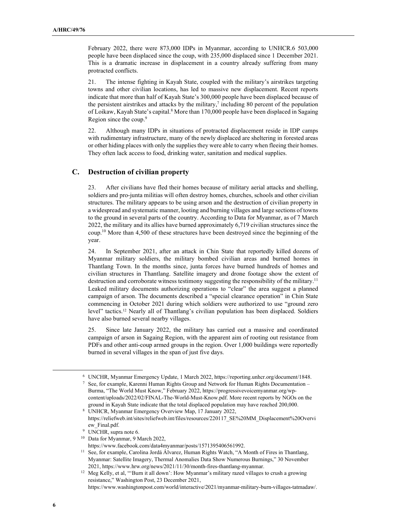February 2022, there were 873,000 IDPs in Myanmar, according to UNHCR.6 503,000 people have been displaced since the coup, with 235,000 displaced since 1 December 2021. This is a dramatic increase in displacement in a country already suffering from many protracted conflicts.

21. The intense fighting in Kayah State, coupled with the military's airstrikes targeting towns and other civilian locations, has led to massive new displacement. Recent reports indicate that more than half of Kayah State's 300,000 people have been displaced because of the persistent airstrikes and attacks by the military, $7$  including 80 percent of the population of Loikaw, Kayah State's capital.<sup>8</sup> More than 170,000 people have been displaced in Sagaing Region since the coup.<sup>9</sup>

22. Although many IDPs in situations of protracted displacement reside in IDP camps with rudimentary infrastructure, many of the newly displaced are sheltering in forested areas or other hiding places with only the supplies they were able to carry when fleeing their homes. They often lack access to food, drinking water, sanitation and medical supplies.

#### **C. Destruction of civilian property**

23. After civilians have fled their homes because of military aerial attacks and shelling, soldiers and pro-junta militias will often destroy homes, churches, schools and other civilian structures. The military appears to be using arson and the destruction of civilian property in a widespread and systematic manner, looting and burning villages and large sections of towns to the ground in several parts of the country. According to Data for Myanmar, as of 7 March 2022, the military and its allies have burned approximately 6,719 civilian structures since the coup.<sup>10</sup> More than 4,500 of these structures have been destroyed since the beginning of the year.

24. In September 2021, after an attack in Chin State that reportedly killed dozens of Myanmar military soldiers, the military bombed civilian areas and burned homes in Thantlang Town. In the months since, junta forces have burned hundreds of homes and civilian structures in Thantlang. Satellite imagery and drone footage show the extent of destruction and corroborate witness testimony suggesting the responsibility of the military.<sup>11</sup> Leaked military documents authorizing operations to "clear" the area suggest a planned campaign of arson. The documents described a "special clearance operation" in Chin State commencing in October 2021 during which soldiers were authorized to use "ground zero level" tactics.12 Nearly all of Thantlang's civilian population has been displaced. Soldiers have also burned several nearby villages.

25. Since late January 2022, the military has carried out a massive and coordinated campaign of arson in Sagaing Region, with the apparent aim of rooting out resistance from PDFs and other anti-coup armed groups in the region. Over 1,000 buildings were reportedly burned in several villages in the span of just five days.

https://www.facebook.com/data4myanmar/posts/1571395406561992.

https://www.washingtonpost.com/world/interactive/2021/myanmar-military-burn-villages-tatmadaw/.

<sup>6</sup> UNCHR, Myanmar Emergency Update, 1 March 2022, https://reporting.unhcr.org/document/1848.

<sup>7</sup> See, for example, Karenni Human Rights Group and Network for Human Rights Documentation – Burma, "The World Must Know," February 2022, https://progressivevoicemyanmar.org/wpcontent/uploads/2022/02/FINAL-The-World-Must-Know.pdf. More recent reports by NGOs on the ground in Kayah State indicate that the total displaced population may have reached 200,000.

<sup>8</sup> UNHCR, Myanmar Emergency Overview Map, 17 January 2022, https://reliefweb.int/sites/reliefweb.int/files/resources/220117\_SE%20MM\_Displacement%20Overvi ew\_Final.pdf.

<sup>&</sup>lt;sup>9</sup> UNCHR, supra note 6.

<sup>&</sup>lt;sup>10</sup> Data for Myanmar, 9 March 2022,

<sup>&</sup>lt;sup>11</sup> See, for example, Carolina Jordá Álvarez, Human Rights Watch, "A Month of Fires in Thantlang, Myanmar: Satellite Imagery, Thermal Anomalies Data Show Numerous Burnings," 30 November 2021, https://www.hrw.org/news/2021/11/30/month-fires-thantlang-myanmar.

<sup>&</sup>lt;sup>12</sup> Meg Kelly, et al, "'Burn it all down': How Myanmar's military razed villages to crush a growing resistance," Washington Post, 23 December 2021,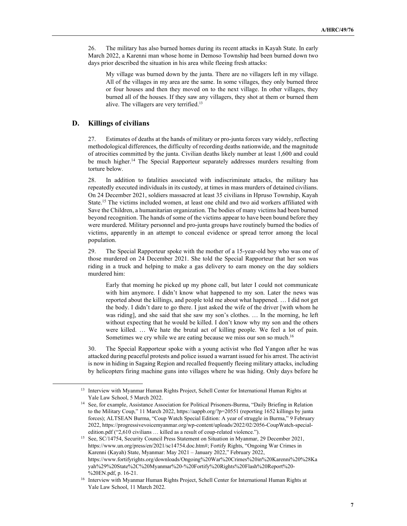26. The military has also burned homes during its recent attacks in Kayah State. In early March 2022, a Karenni man whose home in Demoso Township had been burned down two days prior described the situation in his area while fleeing fresh attacks:

My village was burned down by the junta. There are no villagers left in my village. All of the villages in my area are the same. In some villages, they only burned three or four houses and then they moved on to the next village. In other villages, they burned all of the houses. If they saw any villagers, they shot at them or burned them alive. The villagers are very terrified.<sup>13</sup>

#### **D. Killings of civilians**

27. Estimates of deaths at the hands of military or pro-junta forces vary widely, reflecting methodological differences, the difficulty of recording deaths nationwide, and the magnitude of atrocities committed by the junta. Civilian deaths likely number at least 1,600 and could be much higher.<sup>14</sup> The Special Rapporteur separately addresses murders resulting from torture below.

28. In addition to fatalities associated with indiscriminate attacks, the military has repeatedly executed individuals in its custody, at times in mass murders of detained civilians. On 24 December 2021, soldiers massacred at least 35 civilians in Hpruso Township, Kayah State.<sup>15</sup> The victims included women, at least one child and two aid workers affiliated with Save the Children, a humanitarian organization. The bodies of many victims had been burned beyond recognition. The hands of some of the victims appear to have been bound before they were murdered. Military personnel and pro-junta groups have routinely burned the bodies of victims, apparently in an attempt to conceal evidence or spread terror among the local population.

29. The Special Rapporteur spoke with the mother of a 15-year-old boy who was one of those murdered on 24 December 2021. She told the Special Rapporteur that her son was riding in a truck and helping to make a gas delivery to earn money on the day soldiers murdered him:

Early that morning he picked up my phone call, but later I could not communicate with him anymore. I didn't know what happened to my son. Later the news was reported about the killings, and people told me about what happened. … I did not get the body. I didn't dare to go there. I just asked the wife of the driver [with whom he was riding], and she said that she saw my son's clothes. … In the morning, he left without expecting that he would be killed. I don't know why my son and the others were killed. … We hate the brutal act of killing people. We feel a lot of pain. Sometimes we cry while we are eating because we miss our son so much.<sup>16</sup>

30. The Special Rapporteur spoke with a young activist who fled Yangon after he was attacked during peaceful protests and police issued a warrant issued for his arrest. The activist is now in hiding in Sagaing Region and recalled frequently fleeing military attacks, including by helicopters firing machine guns into villages where he was hiding. Only days before he

<sup>&</sup>lt;sup>13</sup> Interview with Myanmar Human Rights Project, Schell Center for International Human Rights at Yale Law School, 5 March 2022.

<sup>&</sup>lt;sup>14</sup> See, for example, Assistance Association for Political Prisoners-Burma, "Daily Briefing in Relation to the Military Coup," 11 March 2022, https://aappb.org/?p=20551 (reporting 1652 killings by junta forces); ALTSEAN Burma, "Coup Watch Special Edition: A year of struggle in Burma," 9 February 2022, https://progressivevoicemyanmar.org/wp-content/uploads/2022/02/2056-CoupWatch-specialedition.pdf ("2,610 civilians … killed as a result of coup-related violence.").

<sup>&</sup>lt;sup>15</sup> See, SC/14754, Security Council Press Statement on Situation in Myanmar, 29 December 2021, https://www.un.org/press/en/2021/sc14754.doc.htm#; Fortify Rights, "Ongoing War Crimes in Karenni (Kayah) State, Myanmar: May 2021 – January 2022," February 2022, https://www.fortifyrights.org/downloads/Ongoing%20War%20Crimes%20in%20Karenni%20%28Ka yah%29%20State%2C%20Myanmar%20-%20Fortify%20Rights%20Flash%20Report%20- %20EN.pdf, p. 16-21.

<sup>16</sup> Interview with Myanmar Human Rights Project, Schell Center for International Human Rights at Yale Law School, 11 March 2022.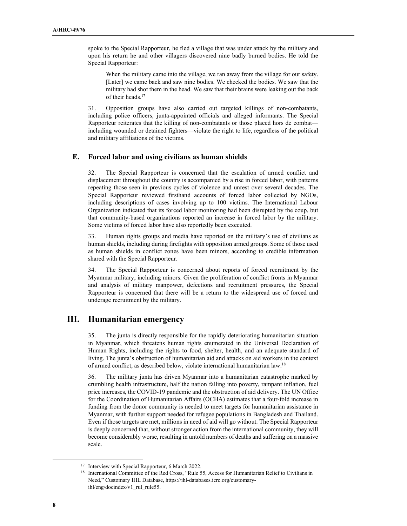spoke to the Special Rapporteur, he fled a village that was under attack by the military and upon his return he and other villagers discovered nine badly burned bodies. He told the Special Rapporteur:

When the military came into the village, we ran away from the village for our safety. [Later] we came back and saw nine bodies. We checked the bodies. We saw that the military had shot them in the head. We saw that their brains were leaking out the back of their heads.<sup>17</sup>

31. Opposition groups have also carried out targeted killings of non-combatants, including police officers, junta-appointed officials and alleged informants. The Special Rapporteur reiterates that the killing of non-combatants or those placed hors de combat including wounded or detained fighters—violate the right to life, regardless of the political and military affiliations of the victims.

#### **E. Forced labor and using civilians as human shields**

32. The Special Rapporteur is concerned that the escalation of armed conflict and displacement throughout the country is accompanied by a rise in forced labor, with patterns repeating those seen in previous cycles of violence and unrest over several decades. The Special Rapporteur reviewed firsthand accounts of forced labor collected by NGOs, including descriptions of cases involving up to 100 victims. The International Labour Organization indicated that its forced labor monitoring had been disrupted by the coup, but that community-based organizations reported an increase in forced labor by the military. Some victims of forced labor have also reportedly been executed.

33. Human rights groups and media have reported on the military's use of civilians as human shields, including during firefights with opposition armed groups. Some of those used as human shields in conflict zones have been minors, according to credible information shared with the Special Rapporteur.

34. The Special Rapporteur is concerned about reports of forced recruitment by the Myanmar military, including minors. Given the proliferation of conflict fronts in Myanmar and analysis of military manpower, defections and recruitment pressures, the Special Rapporteur is concerned that there will be a return to the widespread use of forced and underage recruitment by the military.

## **III. Humanitarian emergency**

35. The junta is directly responsible for the rapidly deteriorating humanitarian situation in Myanmar, which threatens human rights enumerated in the Universal Declaration of Human Rights, including the rights to food, shelter, health, and an adequate standard of living. The junta's obstruction of humanitarian aid and attacks on aid workers in the context of armed conflict, as described below, violate international humanitarian law.<sup>18</sup>

36. The military junta has driven Myanmar into a humanitarian catastrophe marked by crumbling health infrastructure, half the nation falling into poverty, rampant inflation, fuel price increases, the COVID-19 pandemic and the obstruction of aid delivery. The UN Office for the Coordination of Humanitarian Affairs (OCHA) estimates that a four-fold increase in funding from the donor community is needed to meet targets for humanitarian assistance in Myanmar, with further support needed for refugee populations in Bangladesh and Thailand. Even if those targets are met, millions in need of aid will go without. The Special Rapporteur is deeply concerned that, without stronger action from the international community, they will become considerably worse, resulting in untold numbers of deaths and suffering on a massive scale.

<sup>&</sup>lt;sup>17</sup> Interview with Special Rapporteur, 6 March 2022.

<sup>&</sup>lt;sup>18</sup> International Committee of the Red Cross, "Rule 55, Access for Humanitarian Relief to Civilians in Need," Customary IHL Database, https://ihl-databases.icrc.org/customaryihl/eng/docindex/v1\_rul\_rule55.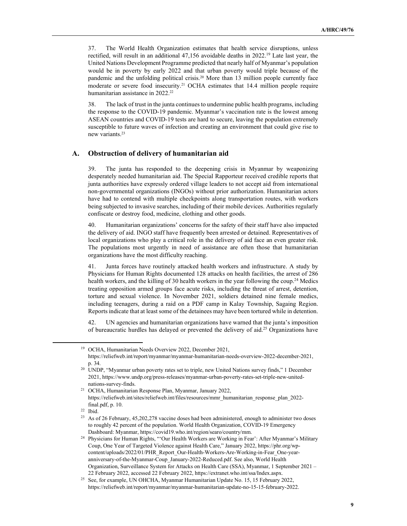37. The World Health Organization estimates that health service disruptions, unless rectified, will result in an additional  $47,156$  avoidable deaths in 2022.<sup>19</sup> Late last year, the United Nations Development Programme predicted that nearly half of Myanmar's population would be in poverty by early 2022 and that urban poverty would triple because of the pandemic and the unfolding political crisis.<sup>20</sup> More than 13 million people currently face moderate or severe food insecurity.<sup>21</sup> OCHA estimates that 14.4 million people require humanitarian assistance in 2022.<sup>22</sup>

38. The lack of trust in the junta continues to undermine public health programs, including the response to the COVID-19 pandemic. Myanmar's vaccination rate is the lowest among ASEAN countries and COVID-19 tests are hard to secure, leaving the population extremely susceptible to future waves of infection and creating an environment that could give rise to new variants.<sup>23</sup>

#### **A. Obstruction of delivery of humanitarian aid**

39. The junta has responded to the deepening crisis in Myanmar by weaponizing desperately needed humanitarian aid. The Special Rapporteur received credible reports that junta authorities have expressly ordered village leaders to not accept aid from international non-governmental organizations (INGOs) without prior authorization. Humanitarian actors have had to contend with multiple checkpoints along transportation routes, with workers being subjected to invasive searches, including of their mobile devices. Authorities regularly confiscate or destroy food, medicine, clothing and other goods.

40. Humanitarian organizations' concerns for the safety of their staff have also impacted the delivery of aid. INGO staff have frequently been arrested or detained. Representatives of local organizations who play a critical role in the delivery of aid face an even greater risk. The populations most urgently in need of assistance are often those that humanitarian organizations have the most difficulty reaching.

41. Junta forces have routinely attacked health workers and infrastructure. A study by Physicians for Human Rights documented 128 attacks on health facilities, the arrest of 286 health workers, and the killing of 30 health workers in the year following the coup.<sup>24</sup> Medics treating opposition armed groups face acute risks, including the threat of arrest, detention, torture and sexual violence. In November 2021, soldiers detained nine female medics, including teenagers, during a raid on a PDF camp in Kalay Township, Sagaing Region. Reports indicate that at least some of the detainees may have been tortured while in detention.

42. UN agencies and humanitarian organizations have warned that the junta's imposition of bureaucratic hurdles has delayed or prevented the delivery of aid.<sup>25</sup> Organizations have

<sup>19</sup> OCHA, Humanitarian Needs Overview 2022, December 2021, https://reliefweb.int/report/myanmar/myanmar-humanitarian-needs-overview-2022-december-2021, p. 34.

<sup>&</sup>lt;sup>20</sup> UNDP, "Myanmar urban poverty rates set to triple, new United Nations survey finds," 1 December 2021, https://www.undp.org/press-releases/myanmar-urban-poverty-rates-set-triple-new-unitednations-survey-finds.

<sup>21</sup> OCHA, Humanitarian Response Plan, Myanmar, January 2022, https://reliefweb.int/sites/reliefweb.int/files/resources/mmr\_humanitarian\_response\_plan\_2022 final.pdf, p. 10.

<sup>22</sup> Ibid.

<sup>&</sup>lt;sup>23</sup> As of 26 February, 45,202,278 vaccine doses had been administered, enough to administer two doses to roughly 42 percent of the population. World Health Organization, COVID-19 Emergency Dashboard: Myanmar, https://covid19.who.int/region/searo/country/mm.

<sup>&</sup>lt;sup>24</sup> Physicians for Human Rights, "'Our Health Workers are Working in Fear': After Myanmar's Military Coup, One Year of Targeted Violence against Health Care," January 2022, https://phr.org/wpcontent/uploads/2022/01/PHR\_Report\_Our-Health-Workers-Are-Working-in-Fear\_One-yearanniversary-of-the-Myanmar-Coup\_January-2022-Reduced.pdf. See also, World Health Organization, Surveillance System for Attacks on Health Care (SSA), Myanmar, 1 September 2021 – 22 February 2022, accessed 22 February 2022, https://extranet.who.int/ssa/Index.aspx.

<sup>&</sup>lt;sup>25</sup> See, for example, UN OHCHA, Myanmar Humanitarian Update No. 15, 15 February 2022 https://reliefweb.int/report/myanmar/myanmar-humanitarian-update-no-15-15-february-2022.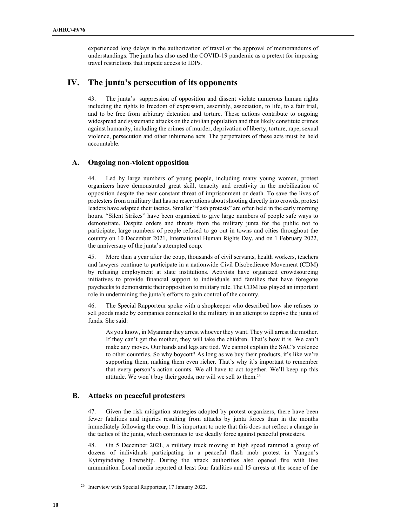experienced long delays in the authorization of travel or the approval of memorandums of understandings. The junta has also used the COVID-19 pandemic as a pretext for imposing travel restrictions that impede access to IDPs.

## **IV. The junta's persecution of its opponents**

43. The junta's suppression of opposition and dissent violate numerous human rights including the rights to freedom of expression, assembly, association, to life, to a fair trial, and to be free from arbitrary detention and torture. These actions contribute to ongoing widespread and systematic attacks on the civilian population and thus likely constitute crimes against humanity, including the crimes of murder, deprivation of liberty, torture, rape, sexual violence, persecution and other inhumane acts. The perpetrators of these acts must be held accountable.

#### **A. Ongoing non-violent opposition**

44. Led by large numbers of young people, including many young women, protest organizers have demonstrated great skill, tenacity and creativity in the mobilization of opposition despite the near constant threat of imprisonment or death. To save the lives of protesters from a military that has no reservations about shooting directly into crowds, protest leaders have adapted their tactics. Smaller "flash protests" are often held in the early morning hours. "Silent Strikes" have been organized to give large numbers of people safe ways to demonstrate. Despite orders and threats from the military junta for the public not to participate, large numbers of people refused to go out in towns and cities throughout the country on 10 December 2021, International Human Rights Day, and on 1 February 2022, the anniversary of the junta's attempted coup.

45. More than a year after the coup, thousands of civil servants, health workers, teachers and lawyers continue to participate in a nationwide Civil Disobedience Movement (CDM) by refusing employment at state institutions. Activists have organized crowdsourcing initiatives to provide financial support to individuals and families that have foregone paychecks to demonstrate their opposition to military rule. The CDM has played an important role in undermining the junta's efforts to gain control of the country.

46. The Special Rapporteur spoke with a shopkeeper who described how she refuses to sell goods made by companies connected to the military in an attempt to deprive the junta of funds. She said:

As you know, in Myanmar they arrest whoever they want. They will arrest the mother. If they can't get the mother, they will take the children. That's how it is. We can't make any moves. Our hands and legs are tied. We cannot explain the SAC's violence to other countries. So why boycott? As long as we buy their products, it's like we're supporting them, making them even richer. That's why it's important to remember that every person's action counts. We all have to act together. We'll keep up this attitude. We won't buy their goods, nor will we sell to them.<sup>26</sup>

#### **B. Attacks on peaceful protesters**

47. Given the risk mitigation strategies adopted by protest organizers, there have been fewer fatalities and injuries resulting from attacks by junta forces than in the months immediately following the coup. It is important to note that this does not reflect a change in the tactics of the junta, which continues to use deadly force against peaceful protesters.

48. On 5 December 2021, a military truck moving at high speed rammed a group of dozens of individuals participating in a peaceful flash mob protest in Yangon's Kyimyindaing Township. During the attack authorities also opened fire with live ammunition. Local media reported at least four fatalities and 15 arrests at the scene of the

<sup>26</sup> Interview with Special Rapporteur, 17 January 2022.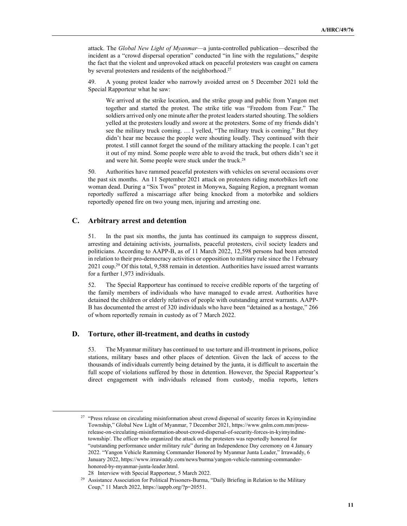attack. The *Global New Light of Myanmar*—a junta-controlled publication—described the incident as a "crowd dispersal operation" conducted "in line with the regulations," despite the fact that the violent and unprovoked attack on peaceful protesters was caught on camera by several protesters and residents of the neighborhood.<sup>27</sup>

49. A young protest leader who narrowly avoided arrest on 5 December 2021 told the Special Rapporteur what he saw:

We arrived at the strike location, and the strike group and public from Yangon met together and started the protest. The strike title was "Freedom from Fear." The soldiers arrived only one minute after the protest leaders started shouting. The soldiers yelled at the protesters loudly and swore at the protesters. Some of my friends didn't see the military truck coming. … I yelled, "The military truck is coming." But they didn't hear me because the people were shouting loudly. They continued with their protest. I still cannot forget the sound of the military attacking the people. I can't get it out of my mind. Some people were able to avoid the truck, but others didn't see it and were hit. Some people were stuck under the truck.<sup>28</sup>

50. Authorities have rammed peaceful protesters with vehicles on several occasions over the past six months. An 11 September 2021 attack on protesters riding motorbikes left one woman dead. During a "Six Twos" protest in Monywa, Sagaing Region, a pregnant woman reportedly suffered a miscarriage after being knocked from a motorbike and soldiers reportedly opened fire on two young men, injuring and arresting one.

#### **C. Arbitrary arrest and detention**

51. In the past six months, the junta has continued its campaign to suppress dissent, arresting and detaining activists, journalists, peaceful protesters, civil society leaders and politicians. According to AAPP-B, as of 11 March 2022, 12,598 persons had been arrested in relation to their pro-democracy activities or opposition to military rule since the 1 February 2021 coup.<sup>29</sup> Of this total, 9,588 remain in detention. Authorities have issued arrest warrants for a further 1,973 individuals.

52. The Special Rapporteur has continued to receive credible reports of the targeting of the family members of individuals who have managed to evade arrest. Authorities have detained the children or elderly relatives of people with outstanding arrest warrants. AAPP-B has documented the arrest of 320 individuals who have been "detained as a hostage," 266 of whom reportedly remain in custody as of 7 March 2022.

#### **D. Torture, other ill-treatment, and deaths in custody**

53. The Myanmar military has continued to use torture and ill-treatment in prisons, police stations, military bases and other places of detention. Given the lack of access to the thousands of individuals currently being detained by the junta, it is difficult to ascertain the full scope of violations suffered by those in detention. However, the Special Rapporteur's direct engagement with individuals released from custody, media reports, letters

<sup>&</sup>lt;sup>27</sup> "Press release on circulating misinformation about crowd dispersal of security forces in Kyimyindine Township," Global New Light of Myanmar, 7 December 2021, https://www.gnlm.com.mm/pressrelease-on-circulating-misinformation-about-crowd-dispersal-of-security-forces-in-kyimyindinetownship/. The officer who organized the attack on the protesters was reportedly honored for "outstanding performance under military rule" during an Independence Day ceremony on 4 January 2022. "Yangon Vehicle Ramming Commander Honored by Myanmar Junta Leader," Irrawaddy, 6 January 2022, https://www.irrawaddy.com/news/burma/yangon-vehicle-ramming-commanderhonored-by-myanmar-junta-leader.html.

<sup>28</sup> Interview with Special Rapporteur, 5 March 2022.<br><sup>29</sup> Assistance Association for Political Prisoners-Burma

<sup>29</sup> Assistance Association for Political Prisoners-Burma, "Daily Briefing in Relation to the Military Coup," 11 March 2022, https://aappb.org/?p=20551.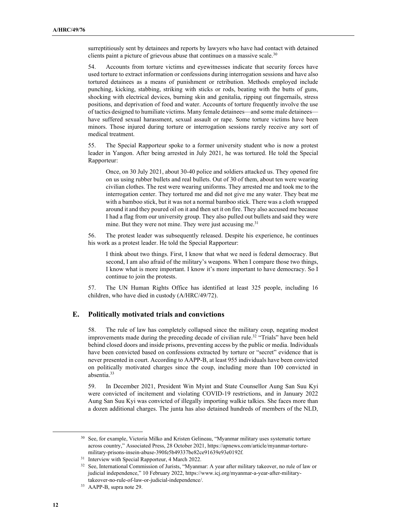surreptitiously sent by detainees and reports by lawyers who have had contact with detained clients paint a picture of grievous abuse that continues on a massive scale. $30$ 

54. Accounts from torture victims and eyewitnesses indicate that security forces have used torture to extract information or confessions during interrogation sessions and have also tortured detainees as a means of punishment or retribution. Methods employed include punching, kicking, stabbing, striking with sticks or rods, beating with the butts of guns, shocking with electrical devices, burning skin and genitalia, ripping out fingernails, stress positions, and deprivation of food and water. Accounts of torture frequently involve the use of tactics designed to humiliate victims. Many female detainees—and some male detainees have suffered sexual harassment, sexual assault or rape. Some torture victims have been minors. Those injured during torture or interrogation sessions rarely receive any sort of medical treatment.

55. The Special Rapporteur spoke to a former university student who is now a protest leader in Yangon. After being arrested in July 2021, he was tortured. He told the Special Rapporteur:

Once, on 30 July 2021, about 30-40 police and soldiers attacked us. They opened fire on us using rubber bullets and real bullets. Out of 30 of them, about ten were wearing civilian clothes. The rest were wearing uniforms. They arrested me and took me to the interrogation center. They tortured me and did not give me any water. They beat me with a bamboo stick, but it was not a normal bamboo stick. There was a cloth wrapped around it and they poured oil on it and then set it on fire. They also accused me because I had a flag from our university group. They also pulled out bullets and said they were mine. But they were not mine. They were just accusing me.<sup>31</sup>

56. The protest leader was subsequently released. Despite his experience, he continues his work as a protest leader. He told the Special Rapporteur:

I think about two things. First, I know that what we need is federal democracy. But second, I am also afraid of the military's weapons. When I compare those two things, I know what is more important. I know it's more important to have democracy. So I continue to join the protests.

57. The UN Human Rights Office has identified at least 325 people, including 16 children, who have died in custody (A/HRC/49/72).

#### **E. Politically motivated trials and convictions**

58. The rule of law has completely collapsed since the military coup, negating modest improvements made during the preceding decade of civilian rule.<sup>32</sup> "Trials" have been held behind closed doors and inside prisons, preventing access by the public or media. Individuals have been convicted based on confessions extracted by torture or "secret" evidence that is never presented in court. According to AAPP-B, at least 955 individuals have been convicted on politically motivated charges since the coup, including more than 100 convicted in absentia.<sup>33</sup>

59. In December 2021, President Win Myint and State Counsellor Aung San Suu Kyi were convicted of incitement and violating COVID-19 restrictions, and in January 2022 Aung San Suu Kyi was convicted of illegally importing walkie talkies. She faces more than a dozen additional charges. The junta has also detained hundreds of members of the NLD,

<sup>&</sup>lt;sup>30</sup> See, for example, Victoria Milko and Kristen Gelineau, "Myanmar military uses systematic torture across country," Associated Press, 28 October 2021, https://apnews.com/article/myanmar-torturemilitary-prisons-insein-abuse-390fe5b49337be82ce91639e93e0192f.

<sup>&</sup>lt;sup>31</sup> Interview with Special Rapporteur, 4 March 2022.

<sup>32</sup> See, International Commission of Jurists, "Myanmar: A year after military takeover, no rule of law or judicial independence," 10 February 2022, https://www.icj.org/myanmar-a-year-after-militarytakeover-no-rule-of-law-or-judicial-independence/.

<sup>33</sup> AAPP-B, supra note 29.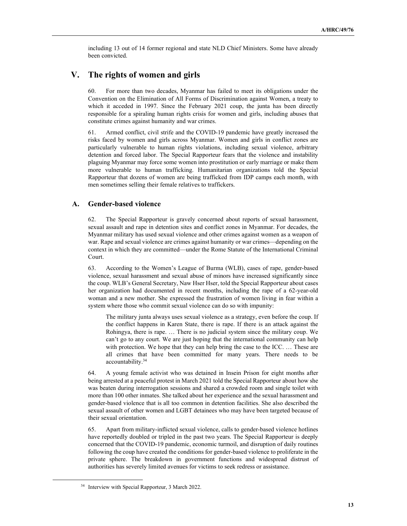including 13 out of 14 former regional and state NLD Chief Ministers. Some have already been convicted.

## **V. The rights of women and girls**

60. For more than two decades, Myanmar has failed to meet its obligations under the Convention on the Elimination of All Forms of Discrimination against Women, a treaty to which it acceded in 1997. Since the February 2021 coup, the junta has been directly responsible for a spiraling human rights crisis for women and girls, including abuses that constitute crimes against humanity and war crimes.

61. Armed conflict, civil strife and the COVID-19 pandemic have greatly increased the risks faced by women and girls across Myanmar. Women and girls in conflict zones are particularly vulnerable to human rights violations, including sexual violence, arbitrary detention and forced labor. The Special Rapporteur fears that the violence and instability plaguing Myanmar may force some women into prostitution or early marriage or make them more vulnerable to human trafficking. Humanitarian organizations told the Special Rapporteur that dozens of women are being trafficked from IDP camps each month, with men sometimes selling their female relatives to traffickers.

#### **A. Gender-based violence**

62. The Special Rapporteur is gravely concerned about reports of sexual harassment, sexual assault and rape in detention sites and conflict zones in Myanmar. For decades, the Myanmar military has used sexual violence and other crimes against women as a weapon of war. Rape and sexual violence are crimes against humanity or war crimes—depending on the context in which they are committed—under the Rome Statute of the International Criminal Court.

63. According to the Women's League of Burma (WLB), cases of rape, gender-based violence, sexual harassment and sexual abuse of minors have increased significantly since the coup. WLB's General Secretary, Naw Hser Hser, told the Special Rapporteur about cases her organization had documented in recent months, including the rape of a 62-year-old woman and a new mother. She expressed the frustration of women living in fear within a system where those who commit sexual violence can do so with impunity:

The military junta always uses sexual violence as a strategy, even before the coup. If the conflict happens in Karen State, there is rape. If there is an attack against the Rohingya, there is rape. … There is no judicial system since the military coup. We can't go to any court. We are just hoping that the international community can help with protection. We hope that they can help bring the case to the ICC. ... These are all crimes that have been committed for many years. There needs to be accountability.<sup>34</sup>

64. A young female activist who was detained in Insein Prison for eight months after being arrested at a peaceful protest in March 2021 told the Special Rapporteur about how she was beaten during interrogation sessions and shared a crowded room and single toilet with more than 100 other inmates. She talked about her experience and the sexual harassment and gender-based violence that is all too common in detention facilities. She also described the sexual assault of other women and LGBT detainees who may have been targeted because of their sexual orientation.

65. Apart from military-inflicted sexual violence, calls to gender-based violence hotlines have reportedly doubled or tripled in the past two years. The Special Rapporteur is deeply concerned that the COVID-19 pandemic, economic turmoil, and disruption of daily routines following the coup have created the conditions for gender-based violence to proliferate in the private sphere. The breakdown in government functions and widespread distrust of authorities has severely limited avenues for victims to seek redress or assistance.

<sup>&</sup>lt;sup>34</sup> Interview with Special Rapporteur, 3 March 2022.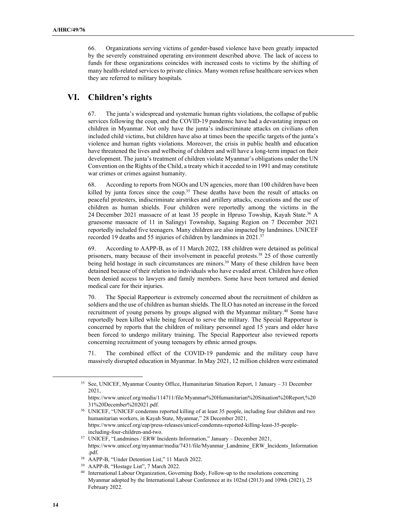66. Organizations serving victims of gender-based violence have been greatly impacted by the severely constrained operating environment described above. The lack of access to funds for these organizations coincides with increased costs to victims by the shifting of many health-related services to private clinics. Many women refuse healthcare services when they are referred to military hospitals.

## **VI. Children's rights**

67. The junta's widespread and systematic human rights violations, the collapse of public services following the coup, and the COVID-19 pandemic have had a devastating impact on children in Myanmar. Not only have the junta's indiscriminate attacks on civilians often included child victims, but children have also at times been the specific targets of the junta's violence and human rights violations. Moreover, the crisis in public health and education have threatened the lives and wellbeing of children and will have a long-term impact on their development. The junta's treatment of children violate Myanmar's obligations under the UN Convention on the Rights of the Child, a treaty which it acceded to in 1991 and may constitute war crimes or crimes against humanity.

68. According to reports from NGOs and UN agencies, more than 100 children have been killed by junta forces since the coup.<sup>35</sup> These deaths have been the result of attacks on peaceful protesters, indiscriminate airstrikes and artillery attacks, executions and the use of children as human shields. Four children were reportedly among the victims in the 24 December 2021 massacre of at least 35 people in Hpruso Towship, Kayah State.<sup>36</sup> A gruesome massacre of 11 in Salingyi Township, Sagaing Region on 7 December 2021 reportedly included five teenagers. Many children are also impacted by landmines. UNICEF recorded 19 deaths and 55 injuries of children by landmines in 2021.<sup>37</sup>

69. According to AAPP-B, as of 11 March 2022, 188 children were detained as political prisoners, many because of their involvement in peaceful protests.<sup>38</sup> 25 of those currently being held hostage in such circumstances are minors. <sup>39</sup> Many of these children have been detained because of their relation to individuals who have evaded arrest. Children have often been denied access to lawyers and family members. Some have been tortured and denied medical care for their injuries.

70. The Special Rapporteur is extremely concerned about the recruitment of children as soldiers and the use of children as human shields. The ILO has noted an increase in the forced recruitment of young persons by groups aligned with the Myanmar military.<sup>40</sup> Some have reportedly been killed while being forced to serve the military. The Special Rapporteur is concerned by reports that the children of military personnel aged 15 years and older have been forced to undergo military training. The Special Rapporteur also reviewed reports concerning recruitment of young teenagers by ethnic armed groups.

71. The combined effect of the COVID-19 pandemic and the military coup have massively disrupted education in Myanmar. In May 2021, 12 million children were estimated

<sup>35</sup> See, UNICEF, Myanmar Country Office, Humanitarian Situation Report, 1 January – 31 December 2021,

https://www.unicef.org/media/114711/file/Myanmar%20Humanitarian%20Situation%20Report,%20 31%20December%202021.pdf.

<sup>36</sup> UNICEF, "UNICEF condemns reported killing of at least 35 people, including four children and two humanitarian workers, in Kayah State, Myanmar," 28 December 2021, https://www.unicef.org/eap/press-releases/unicef-condemns-reported-killing-least-35-peopleincluding-four-children-and-two.

<sup>37</sup> UNICEF, "Landmines / ERW Incidents Information," January – December 2021, https://www.unicef.org/myanmar/media/7431/file/Myanmar\_Landmine\_ERW\_Incidents\_Information .pdf.

<sup>38</sup> AAPP-B, "Under Detention List," 11 March 2022.

<sup>39</sup> AAPP-B, "Hostage List", 7 March 2022.

<sup>40</sup> International Labour Organization, Governing Body, Follow-up to the resolutions concerning Myanmar adopted by the International Labour Conference at its 102nd (2013) and 109th (2021), 25 February 2022.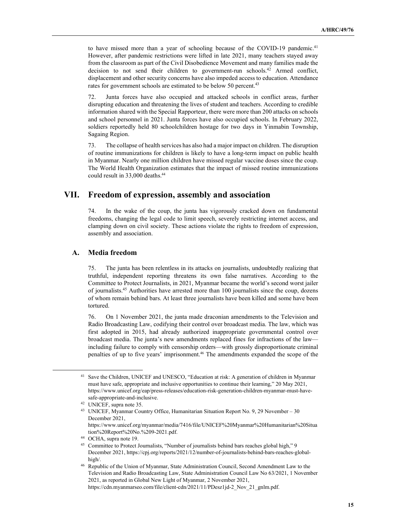to have missed more than a year of schooling because of the COVID-19 pandemic.<sup>41</sup> However, after pandemic restrictions were lifted in late 2021, many teachers stayed away from the classroom as part of the Civil Disobedience Movement and many families made the decision to not send their children to government-run schools.<sup>42</sup> Armed conflict, displacement and other security concerns have also impeded access to education. Attendance rates for government schools are estimated to be below 50 percent.<sup>43</sup>

72. Junta forces have also occupied and attacked schools in conflict areas, further disrupting education and threatening the lives of student and teachers. According to credible information shared with the Special Rapporteur, there were more than 200 attacks on schools and school personnel in 2021. Junta forces have also occupied schools. In February 2022, soldiers reportedly held 80 schoolchildren hostage for two days in Yinmabin Township, Sagaing Region.

73. The collapse of health services has also had a major impact on children. The disruption of routine immunizations for children is likely to have a long-term impact on public health in Myanmar. Nearly one million children have missed regular vaccine doses since the coup. The World Health Organization estimates that the impact of missed routine immunizations could result in 33,000 deaths.<sup>44</sup>

## **VII. Freedom of expression, assembly and association**

74. In the wake of the coup, the junta has vigorously cracked down on fundamental freedoms, changing the legal code to limit speech, severely restricting internet access, and clamping down on civil society. These actions violate the rights to freedom of expression, assembly and association.

#### **A. Media freedom**

75. The junta has been relentless in its attacks on journalists, undoubtedly realizing that truthful, independent reporting threatens its own false narratives. According to the Committee to Protect Journalists, in 2021, Myanmar became the world's second worst jailer of journalists.<sup>45</sup> Authorities have arrested more than 100 journalists since the coup, dozens of whom remain behind bars. At least three journalists have been killed and some have been tortured.

76. On 1 November 2021, the junta made draconian amendments to the Television and Radio Broadcasting Law, codifying their control over broadcast media. The law, which was first adopted in 2015, had already authorized inappropriate governmental control over broadcast media. The junta's new amendments replaced fines for infractions of the law including failure to comply with censorship orders—with grossly disproportionate criminal penalties of up to five years' imprisonment.<sup>46</sup> The amendments expanded the scope of the

<sup>41</sup> Save the Children, UNICEF and UNESCO, "Education at risk: A generation of children in Myanmar must have safe, appropriate and inclusive opportunities to continue their learning," 20 May 2021, https://www.unicef.org/eap/press-releases/education-risk-generation-children-myanmar-must-havesafe-appropriate-and-inclusive.

<sup>42</sup> UNICEF, supra note 35.

<sup>43</sup> UNICEF, Myanmar Country Office, Humanitarian Situation Report No. 9, 29 November – 30 December 2021, https://www.unicef.org/myanmar/media/7416/file/UNICEF%20Myanmar%20Humanitarian%20Situa

tion%20Report%20No.%209-2021.pdf.

<sup>44</sup> OCHA, supra note 19.

<sup>45</sup> Committee to Protect Journalists, "Number of journalists behind bars reaches global high," 9 December 2021, https://cpj.org/reports/2021/12/number-of-journalists-behind-bars-reaches-globalhigh/.

<sup>46</sup> Republic of the Union of Myanmar, State Administration Council, Second Amendment Law to the Television and Radio Broadcasting Law, State Administration Council Law No 63/2021, 1 November 2021, as reported in Global New Light of Myanmar, 2 November 2021, https://cdn.myanmarseo.com/file/client-cdn/2021/11/PDesz1jd-2\_Nov\_21\_gnlm.pdf.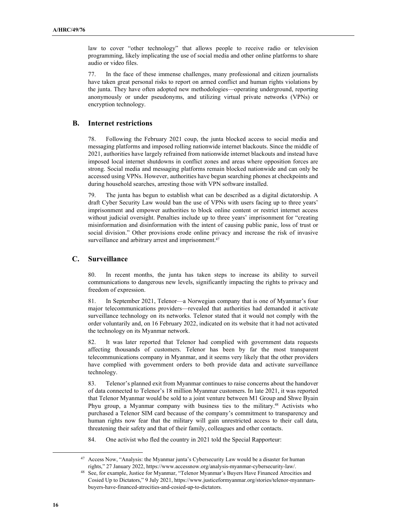law to cover "other technology" that allows people to receive radio or television programming, likely implicating the use of social media and other online platforms to share audio or video files.

77. In the face of these immense challenges, many professional and citizen journalists have taken great personal risks to report on armed conflict and human rights violations by the junta. They have often adopted new methodologies—operating underground, reporting anonymously or under pseudonyms, and utilizing virtual private networks (VPNs) or encryption technology.

#### **B. Internet restrictions**

78. Following the February 2021 coup, the junta blocked access to social media and messaging platforms and imposed rolling nationwide internet blackouts. Since the middle of 2021, authorities have largely refrained from nationwide internet blackouts and instead have imposed local internet shutdowns in conflict zones and areas where opposition forces are strong. Social media and messaging platforms remain blocked nationwide and can only be accessed using VPNs. However, authorities have begun searching phones at checkpoints and during household searches, arresting those with VPN software installed.

79. The junta has begun to establish what can be described as a digital dictatorship. A draft Cyber Security Law would ban the use of VPNs with users facing up to three years' imprisonment and empower authorities to block online content or restrict internet access without judicial oversight. Penalties include up to three years' imprisonment for "creating misinformation and disinformation with the intent of causing public panic, loss of trust or social division." Other provisions erode online privacy and increase the risk of invasive surveillance and arbitrary arrest and imprisonment.<sup>47</sup>

#### **C. Surveillance**

80. In recent months, the junta has taken steps to increase its ability to surveil communications to dangerous new levels, significantly impacting the rights to privacy and freedom of expression.

81. In September 2021, Telenor—a Norwegian company that is one of Myanmar's four major telecommunications providers—revealed that authorities had demanded it activate surveillance technology on its networks. Telenor stated that it would not comply with the order voluntarily and, on 16 February 2022, indicated on its website that it had not activated the technology on its Myanmar network.

82. It was later reported that Telenor had complied with government data requests affecting thousands of customers. Telenor has been by far the most transparent telecommunications company in Myanmar, and it seems very likely that the other providers have complied with government orders to both provide data and activate surveillance technology.

83. Telenor's planned exit from Myanmar continues to raise concerns about the handover of data connected to Telenor's 18 million Myanmar customers. In late 2021, it was reported that Telenor Myanmar would be sold to a joint venture between M1 Group and Shwe Byain Phyu group, a Myanmar company with business ties to the military.<sup>48</sup> Activists who purchased a Telenor SIM card because of the company's commitment to transparency and human rights now fear that the military will gain unrestricted access to their call data, threatening their safety and that of their family, colleagues and other contacts.

84. One activist who fled the country in 2021 told the Special Rapporteur:

<sup>47</sup> Access Now, "Analysis: the Myanmar junta's Cybersecurity Law would be a disaster for human rights," 27 January 2022, https://www.accessnow.org/analysis-myanmar-cybersecurity-law/.

<sup>48</sup> See, for example, Justice for Myanmar, "Telenor Myanmar's Buyers Have Financed Atrocities and Cosied Up to Dictators," 9 July 2021, https://www.justiceformyanmar.org/stories/telenor-myanmarsbuyers-have-financed-atrocities-and-cosied-up-to-dictators.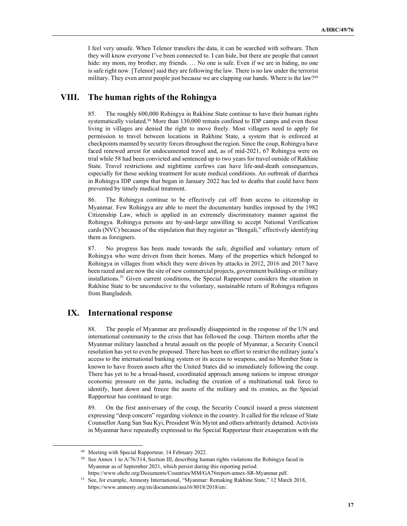I feel very unsafe. When Telenor transfers the data, it can be searched with software. Then they will know everyone I've been connected to. I can hide, but there are people that cannot hide: my mom, my brother, my friends. ... No one is safe. Even if we are in hiding, no one is safe right now. [Telenor] said they are following the law. There is no law under the terrorist military. They even arrest people just because we are clapping our hands. Where is the law?<sup>49</sup>

## **VIII. The human rights of the Rohingya**

85. The roughly 600,000 Rohingya in Rakhine State continue to have their human rights systematically violated.<sup>50</sup> More than 130,000 remain confined to IDP camps and even those living in villages are denied the right to move freely. Most villagers need to apply for permission to travel between locations in Rakhine State, a system that is enforced at checkpoints manned by security forces throughout the region. Since the coup, Rohingya have faced renewed arrest for undocumented travel and, as of mid-2021, 67 Rohingya were on trial while 58 had been convicted and sentenced up to two years for travel outside of Rakhine State. Travel restrictions and nighttime curfews can have life-and-death consequences, especially for those seeking treatment for acute medical conditions. An outbreak of diarrhea in Rohingya IDP camps that began in January 2022 has led to deaths that could have been prevented by timely medical treatment.

86. The Rohingya continue to be effectively cut off from access to citizenship in Myanmar. Few Rohingya are able to meet the documentary hurdles imposed by the 1982 Citizenship Law, which is applied in an extremely discriminatory manner against the Rohingya. Rohingya persons are by-and-large unwilling to accept National Verification cards (NVC) because of the stipulation that they register as "Bengali," effectively identifying them as foreigners.

87. No progress has been made towards the safe, dignified and voluntary return of Rohingya who were driven from their homes. Many of the properties which belonged to Rohingya in villages from which they were driven by attacks in 2012, 2016 and 2017 have been razed and are now the site of new commercial projects, government buildings or military installations.<sup>51</sup> Given current conditions, the Special Rapporteur considers the situation in Rakhine State to be unconducive to the voluntary, sustainable return of Rohingya refugees from Bangladesh.

## **IX. International response**

88. The people of Myanmar are profoundly disappointed in the response of the UN and international community to the crisis that has followed the coup. Thirteen months after the Myanmar military launched a brutal assault on the people of Myanmar, a Security Council resolution has yet to even be proposed. There has been no effort to restrict the military junta's access to the international banking system or its access to weapons, and no Member State is known to have frozen assets after the United States did so immediately following the coup. There has yet to be a broad-based, coordinated approach among nations to impose stronger economic pressure on the junta, including the creation of a multinational task force to identify, hunt down and freeze the assets of the military and its cronies, as the Special Rapporteur has continued to urge.

89. On the first anniversary of the coup, the Security Council issued a press statement expressing "deep concern" regarding violence in the country. It called for the release of State Counsellor Aung San Suu Kyi, President Win Myint and others arbitrarily detained. Activists in Myanmar have repeatedly expressed to the Special Rapporteur their exasperation with the

<sup>49</sup> Meeting with Special Rapporteur, 14 February 2022.

<sup>&</sup>lt;sup>50</sup> See Annex 1 to A/76/314, Section III, describing human rights violations the Rohingya faced in Myanmar as of September 2021, which persist during this reporting period. https://www.ohchr.org/Documents/Countries/MM/GA76report-annex-SR-Myanmar.pdf.

<sup>51</sup> See, for example, Amnesty International, "Myanmar: Remaking Rakhine State," 12 March 2018, https://www.amnesty.org/en/documents/asa16/8018/2018/en/.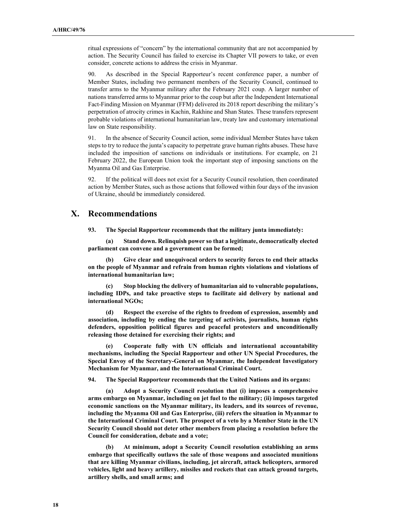ritual expressions of "concern" by the international community that are not accompanied by action. The Security Council has failed to exercise its Chapter VII powers to take, or even consider, concrete actions to address the crisis in Myanmar.

90. As described in the Special Rapporteur's recent conference paper, a number of Member States, including two permanent members of the Security Council, continued to transfer arms to the Myanmar military after the February 2021 coup. A larger number of nations transferred arms to Myanmar prior to the coup but after the Independent International Fact-Finding Mission on Myanmar (FFM) delivered its 2018 report describing the military's perpetration of atrocity crimes in Kachin, Rakhine and Shan States. These transfers represent probable violations of international humanitarian law, treaty law and customary international law on State responsibility.

91. In the absence of Security Council action, some individual Member States have taken steps to try to reduce the junta's capacity to perpetrate grave human rights abuses. These have included the imposition of sanctions on individuals or institutions. For example, on 21 February 2022, the European Union took the important step of imposing sanctions on the Myanma Oil and Gas Enterprise.

92. If the political will does not exist for a Security Council resolution, then coordinated action by Member States, such as those actions that followed within four days of the invasion of Ukraine, should be immediately considered.

## **X. Recommendations**

**93. The Special Rapporteur recommends that the military junta immediately:** 

 **(a) Stand down. Relinquish power so that a legitimate, democratically elected parliament can convene and a government can be formed;** 

 **(b) Give clear and unequivocal orders to security forces to end their attacks on the people of Myanmar and refrain from human rights violations and violations of international humanitarian law;** 

 **(c) Stop blocking the delivery of humanitarian aid to vulnerable populations, including IDPs, and take proactive steps to facilitate aid delivery by national and international NGOs;** 

 **(d) Respect the exercise of the rights to freedom of expression, assembly and association, including by ending the targeting of activists, journalists, human rights defenders, opposition political figures and peaceful protesters and unconditionally releasing those detained for exercising their rights; and** 

 **(e) Cooperate fully with UN officials and international accountability mechanisms, including the Special Rapporteur and other UN Special Procedures, the Special Envoy of the Secretary-General on Myanmar, the Independent Investigatory Mechanism for Myanmar, and the International Criminal Court.** 

**94. The Special Rapporteur recommends that the United Nations and its organs:** 

 **(a) Adopt a Security Council resolution that (i) imposes a comprehensive arms embargo on Myanmar, including on jet fuel to the military; (ii) imposes targeted economic sanctions on the Myanmar military, its leaders, and its sources of revenue, including the Myanma Oil and Gas Enterprise, (iii) refers the situation in Myanmar to the International Criminal Court. The prospect of a veto by a Member State in the UN Security Council should not deter other members from placing a resolution before the Council for consideration, debate and a vote;** 

 **(b) At minimum, adopt a Security Council resolution establishing an arms embargo that specifically outlaws the sale of those weapons and associated munitions that are killing Myanmar civilians, including, jet aircraft, attack helicopters, armored vehicles, light and heavy artillery, missiles and rockets that can attack ground targets, artillery shells, and small arms; and**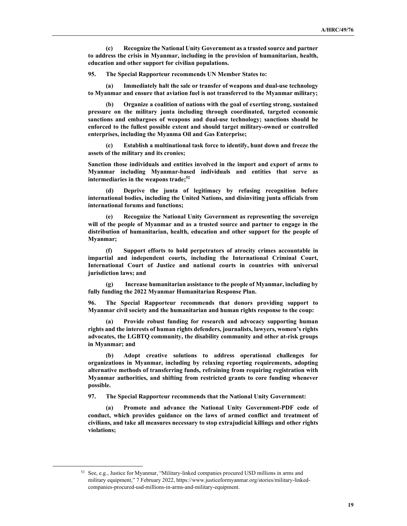**(c) Recognize the National Unity Government as a trusted source and partner to address the crisis in Myanmar, including in the provision of humanitarian, health, education and other support for civilian populations.** 

**95. The Special Rapporteur recommends UN Member States to:** 

 **(a) Immediately halt the sale or transfer of weapons and dual-use technology to Myanmar and ensure that aviation fuel is not transferred to the Myanmar military;** 

 **(b) Organize a coalition of nations with the goal of exerting strong, sustained pressure on the military junta including through coordinated, targeted economic sanctions and embargoes of weapons and dual-use technology; sanctions should be enforced to the fullest possible extent and should target military-owned or controlled enterprises, including the Myanma Oil and Gas Enterprise;** 

 **(c) Establish a multinational task force to identify, hunt down and freeze the assets of the military and its cronies;** 

**Sanction those individuals and entities involved in the import and export of arms to Myanmar including Myanmar-based individuals and entities that serve as intermediaries in the weapons trade;<sup>52</sup>** 

 **(d) Deprive the junta of legitimacy by refusing recognition before international bodies, including the United Nations, and disinviting junta officials from international forums and functions;** 

 **(e) Recognize the National Unity Government as representing the sovereign will of the people of Myanmar and as a trusted source and partner to engage in the distribution of humanitarian, health, education and other support for the people of Myanmar;** 

 **(f) Support efforts to hold perpetrators of atrocity crimes accountable in impartial and independent courts, including the International Criminal Court, International Court of Justice and national courts in countries with universal jurisdiction laws; and** 

 **(g) Increase humanitarian assistance to the people of Myanmar, including by fully funding the 2022 Myanmar Humanitarian Response Plan.** 

**96. The Special Rapporteur recommends that donors providing support to Myanmar civil society and the humanitarian and human rights response to the coup:** 

Provide robust funding for research and advocacy supporting human **rights and the interests of human rights defenders, journalists, lawyers, women's rights advocates, the LGBTQ community, the disability community and other at-risk groups in Myanmar; and** 

 **(b) Adopt creative solutions to address operational challenges for organizations in Myanmar, including by relaxing reporting requirements, adopting alternative methods of transferring funds, refraining from requiring registration with Myanmar authorities, and shifting from restricted grants to core funding whenever possible.** 

**97. The Special Rapporteur recommends that the National Unity Government:** 

 **(a) Promote and advance the National Unity Government-PDF code of conduct, which provides guidance on the laws of armed conflict and treatment of civilians, and take all measures necessary to stop extrajudicial killings and other rights violations;** 

 $52$  See, e.g., Justice for Myanmar, "Military-linked companies procured USD millions in arms and military equipment," 7 February 2022, https://www.justiceformyanmar.org/stories/military-linkedcompanies-procured-usd-millions-in-arms-and-military-equipment.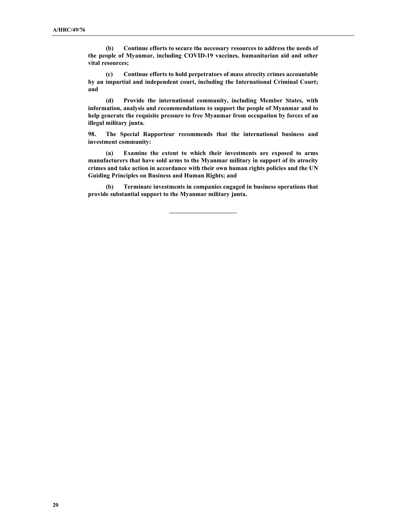**(b) Continue efforts to secure the necessary resources to address the needs of the people of Myanmar, including COVID-19 vaccines, humanitarian aid and other vital resources;** 

 **(c) Continue efforts to hold perpetrators of mass atrocity crimes accountable by an impartial and independent court, including the International Criminal Court; and** 

 **(d) Provide the international community, including Member States, with information, analysis and recommendations to support the people of Myanmar and to help generate the requisite pressure to free Myanmar from occupation by forces of an illegal military junta.** 

**98. The Special Rapporteur recommends that the international business and investment community:** 

 **(a) Examine the extent to which their investments are exposed to arms manufacturers that have sold arms to the Myanmar military in support of its atrocity crimes and take action in accordance with their own human rights policies and the UN Guiding Principles on Business and Human Rights; and** 

 **(b) Terminate investments in companies engaged in business operations that provide substantial support to the Myanmar military junta.** 

 $\overline{a}$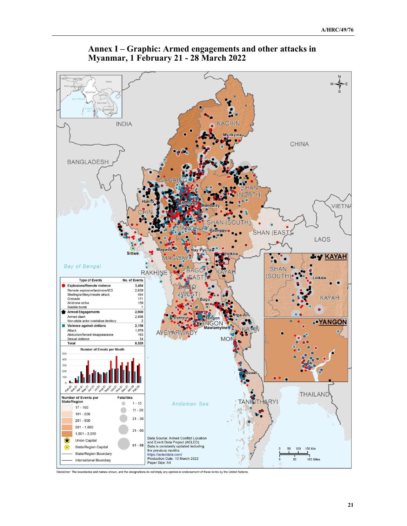



Disclaimer: The boundaries and names shown, and the designations do not imply any opinion or endorsement of these terms by the United Nations.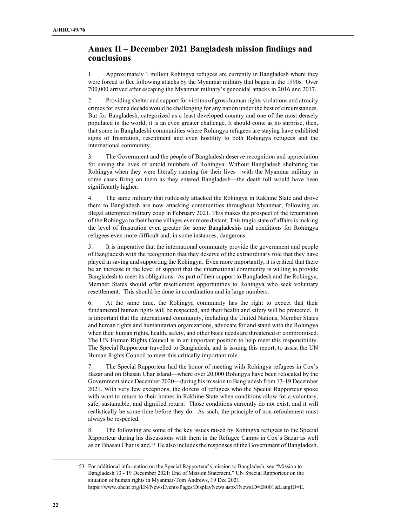## **Annex II – December 2021 Bangladesh mission findings and conclusions**

1. Approximately 1 million Rohingya refugees are currently in Bangladesh where they were forced to flee following attacks by the Myanmar military that began in the 1990s. Over 700,000 arrived after escaping the Myanmar military's genocidal attacks in 2016 and 2017.

2. Providing shelter and support for victims of gross human rights violations and atrocity crimes for over a decade would be challenging for any nation under the best of circumstances. But for Bangladesh, categorized as a least developed country and one of the most densely populated in the world, it is an even greater challenge. It should come as no surprise, then, that some in Bangladeshi communities where Rohingya refugees are staying have exhibited signs of frustration, resentment and even hostility to both Rohingya refugees and the international community.

3. The Government and the people of Bangladesh deserve recognition and appreciation for saving the lives of untold numbers of Rohingya. Without Bangladesh sheltering the Rohingya when they were literally running for their lives—with the Myanmar military in some cases firing on them as they entered Bangladesh—the death toll would have been significantly higher.

4. The same military that ruthlessly attacked the Rohingya in Rakhine State and drove them to Bangladesh are now attacking communities throughout Myanmar, following an illegal attempted military coup in February 2021. This makes the prospect of the repatriation of the Rohingya to their home villages ever more distant. This tragic state of affairs is making the level of frustration even greater for some Bangladeshis and conditions for Rohingya refugees even more difficult and, in some instances, dangerous.

5. It is imperative that the international community provide the government and people of Bangladesh with the recognition that they deserve of the extraordinary role that they have played in saving and supporting the Rohingya. Even more importantly, it is critical that there be an increase in the level of support that the international community is willing to provide Bangladesh to meet its obligations. As part of their support to Bangladesh and the Rohingya, Member States should offer resettlement opportunities to Rohingya who seek voluntary resettlement. This should be done in coordination and in large numbers.

6. At the same time, the Rohingya community has the right to expect that their fundamental human rights will be respected, and their health and safety will be protected. It is important that the international community, including the United Nations, Member States and human rights and humanitarian organizations, advocate for and stand with the Rohingya when their human rights, health, safety, and other basic needs are threatened or compromised. The UN Human Rights Council is in an important position to help meet this responsibility. The Special Rapporteur travelled to Bangladesh, and is issuing this report, to assist the UN Human Rights Council to meet this critically important role.

7. The Special Rapporteur had the honor of meeting with Rohingya refugees in Cox's Bazar and on Bhasan Char island—where over 20,000 Rohingya have been relocated by the Government since December 2020—during his mission to Bangladesh from 13-19 December 2021. With very few exceptions, the dozens of refugees who the Special Rapporteur spoke with want to return to their homes in Rakhine State when conditions allow for a voluntary, safe, sustainable, and dignified return. Those conditions currently do not exist, and it will realistically be some time before they do. As such, the principle of non-refoulement must always be respected.

8. The following are some of the key issues raised by Rohingya refugees to the Special Rapporteur during his discussions with them in the Refugee Camps in Cox's Bazar as well as on Bhasan Char island.<sup>53</sup> He also includes the responses of the Government of Bangladesh.

 <sup>53</sup> For additional information on the Special Rapporteur's mission to Bangladesh, see "Mission to Bangladesh 13 - 19 December 2021: End of Mission Statement," UN Special Rapporteur on the situation of human rights in Myanmar-Tom Andrews, 19 Dec 2021, https://www.ohchr.org/EN/NewsEvents/Pages/DisplayNews.aspx?NewsID=28001&LangID=E.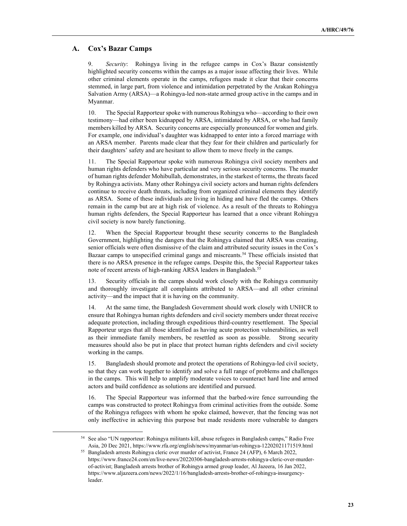#### **A. Cox's Bazar Camps**

9. *Security*: Rohingya living in the refugee camps in Cox's Bazar consistently highlighted security concerns within the camps as a major issue affecting their lives. While other criminal elements operate in the camps, refugees made it clear that their concerns stemmed, in large part, from violence and intimidation perpetrated by the Arakan Rohingya Salvation Army (ARSA)—a Rohingya-led non-state armed group active in the camps and in Myanmar.

10. The Special Rapporteur spoke with numerous Rohingya who—according to their own testimony—had either been kidnapped by ARSA, intimidated by ARSA, or who had family members killed by ARSA. Security concerns are especially pronounced for women and girls. For example, one individual's daughter was kidnapped to enter into a forced marriage with an ARSA member. Parents made clear that they fear for their children and particularly for their daughters' safety and are hesitant to allow them to move freely in the camps.

11. The Special Rapporteur spoke with numerous Rohingya civil society members and human rights defenders who have particular and very serious security concerns. The murder of human rights defender Mohibullah, demonstrates, in the starkest of terms, the threats faced by Rohingya activists. Many other Rohingya civil society actors and human rights defenders continue to receive death threats, including from organized criminal elements they identify as ARSA. Some of these individuals are living in hiding and have fled the camps. Others remain in the camp but are at high risk of violence. As a result of the threats to Rohingya human rights defenders, the Special Rapporteur has learned that a once vibrant Rohingya civil society is now barely functioning.

12. When the Special Rapporteur brought these security concerns to the Bangladesh Government, highlighting the dangers that the Rohingya claimed that ARSA was creating, senior officials were often dismissive of the claim and attributed security issues in the Cox's Bazaar camps to unspecified criminal gangs and miscreants.<sup>54</sup> These officials insisted that there is no ARSA presence in the refugee camps. Despite this, the Special Rapporteur takes note of recent arrests of high-ranking ARSA leaders in Bangladesh.<sup>55</sup>

13. Security officials in the camps should work closely with the Rohingya community and thoroughly investigate all complaints attributed to ARSA—and all other criminal activity—and the impact that it is having on the community.

14. At the same time, the Bangladesh Government should work closely with UNHCR to ensure that Rohingya human rights defenders and civil society members under threat receive adequate protection, including through expeditious third-country resettlement. The Special Rapporteur urges that all those identified as having acute protection vulnerabilities, as well as their immediate family members, be resettled as soon as possible. Strong security measures should also be put in place that protect human rights defenders and civil society working in the camps.

15. Bangladesh should promote and protect the operations of Rohingya-led civil society, so that they can work together to identify and solve a full range of problems and challenges in the camps. This will help to amplify moderate voices to counteract hard line and armed actors and build confidence as solutions are identified and pursued.

16. The Special Rapporteur was informed that the barbed-wire fence surrounding the camps was constructed to protect Rohingya from criminal activities from the outside. Some of the Rohingya refugees with whom he spoke claimed, however, that the fencing was not only ineffective in achieving this purpose but made residents more vulnerable to dangers

<sup>54</sup> See also "UN rapporteur: Rohingya militants kill, abuse refugees in Bangladesh camps," Radio Free Asia, 20 Dec 2021, https://www.rfa.org/english/news/myanmar/un-rohingya-12202021171519.html <sup>55</sup> Bangladesh arrests Rohingya cleric over murder of activist, France 24 (AFP), 6 March 2022,

https://www.france24.com/en/live-news/20220306-bangladesh-arrests-rohingya-cleric-over-murderof-activist; Bangladesh arrests brother of Rohingya armed group leader, Al Jazeera, 16 Jan 2022, https://www.aljazeera.com/news/2022/1/16/bangladesh-arrests-brother-of-rohingya-insurgencyleader.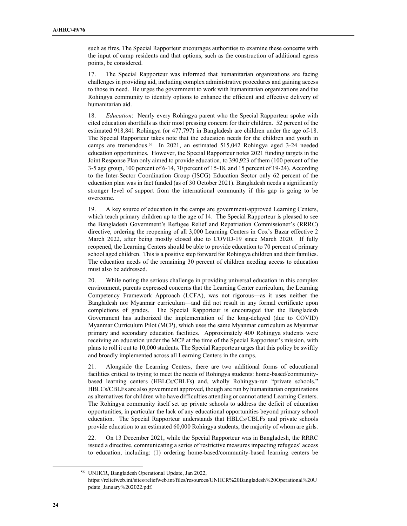such as fires. The Special Rapporteur encourages authorities to examine these concerns with the input of camp residents and that options, such as the construction of additional egress points, be considered.

17. The Special Rapporteur was informed that humanitarian organizations are facing challenges in providing aid, including complex administrative procedures and gaining access to those in need. He urges the government to work with humanitarian organizations and the Rohingya community to identify options to enhance the efficient and effective delivery of humanitarian aid.

18. *Education*: Nearly every Rohingya parent who the Special Rapporteur spoke with cited education shortfalls as their most pressing concern for their children. 52 percent of the estimated 918,841 Rohingya (or 477,797) in Bangladesh are children under the age of-18. The Special Rapporteur takes note that the education needs for the children and youth in camps are tremendous.<sup>56</sup> In 2021, an estimated 515,042 Rohingya aged 3-24 needed education opportunities. However, the Special Rapporteur notes 2021 funding targets in the Joint Response Plan only aimed to provide education, to 390,923 of them (100 percent of the 3-5 age group, 100 percent of 6-14, 70 percent of 15-18, and 15 percent of 19-24). According to the Inter-Sector Coordination Group (ISCG) Education Sector only 62 percent of the education plan was in fact funded (as of 30 October 2021). Bangladesh needs a significantly stronger level of support from the international community if this gap is going to be overcome.

19. A key source of education in the camps are government-approved Learning Centers, which teach primary children up to the age of 14. The Special Rapporteur is pleased to see the Bangladesh Government's Refugee Relief and Repatriation Commissioner's (RRRC) directive, ordering the reopening of all 3,000 Learning Centers in Cox's Bazar effective 2 March 2022, after being mostly closed due to COVID-19 since March 2020. If fully reopened, the Learning Centers should be able to provide education to 70 percent of primary school aged children. This is a positive step forward for Rohingya children and their families. The education needs of the remaining 30 percent of children needing access to education must also be addressed.

20. While noting the serious challenge in providing universal education in this complex environment, parents expressed concerns that the Learning Center curriculum, the Learning Competency Framework Approach (LCFA), was not rigorous—as it uses neither the Bangladesh nor Myanmar curriculum—and did not result in any formal certificate upon completions of grades. The Special Rapporteur is encouraged that the Bangladesh Government has authorized the implementation of the long-delayed (due to COVID) Myanmar Curriculum Pilot (MCP), which uses the same Myanmar curriculum as Myanmar primary and secondary education facilities. Approximately 400 Rohingya students were receiving an education under the MCP at the time of the Special Rapporteur's mission, with plans to roll it out to 10,000 students. The Special Rapporteur urges that this policy be swiftly and broadly implemented across all Learning Centers in the camps.

21. Alongside the Learning Centers, there are two additional forms of educational facilities critical to trying to meet the needs of Rohingya students: home-based/communitybased learning centers (HBLCs/CBLFs) and, wholly Rohingya-run "private schools." HBLCs/CBLFs are also government approved, though are run by humanitarian organizations as alternatives for children who have difficulties attending or cannot attend Learning Centers. The Rohingya community itself set up private schools to address the deficit of education opportunities, in particular the lack of any educational opportunities beyond primary school education. The Special Rapporteur understands that HBLCs/CBLFs and private schools provide education to an estimated 60,000 Rohingya students, the majority of whom are girls.

22. On 13 December 2021, while the Special Rapporteur was in Bangladesh, the RRRC issued a directive, communicating a series of restrictive measures impacting refugees' access to education, including: (1) ordering home-based/community-based learning centers be

<sup>56</sup> UNHCR, Bangladesh Operational Update, Jan 2022,

https://reliefweb.int/sites/reliefweb.int/files/resources/UNHCR%20Bangladesh%20Operational%20U pdate\_January%202022.pdf.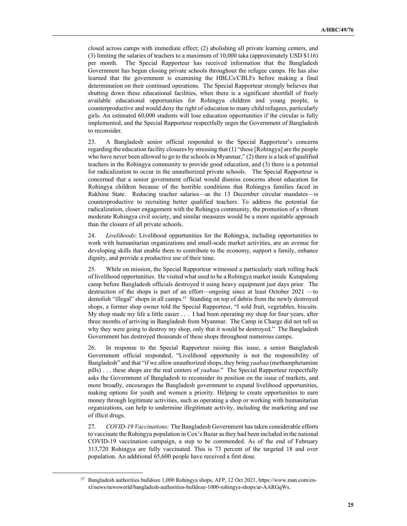closed across camps with immediate effect; (2) abolishing all private learning centers, and (3) limiting the salaries of teachers to a maximum of 10,000 taka (approximately USD \$116) per month. The Special Rapporteur has received information that the Bangladesh Government has begun closing private schools throughout the refugee camps. He has also learned that the government is examining the HBLCs/CBLFs before making a final determination on their continued operations. The Special Rapporteur strongly believes that shutting down these educational facilities, when there is a significant shortfall of freely available educational opportunities for Rohingya children and young people, is counterproductive and would deny the right of education to many child refugees, particularly girls. An estimated 60,000 students will lose education opportunities if the circular is fully implemented, and the Special Rapporteur respectfully urges the Government of Bangladesh to reconsider.

23. A Bangladesh senior official responded to the Special Rapporteur's concerns regarding the education facility closures by stressing that (1) "these [Rohingya] are the people who have never been allowed to go to the schools in Myanmar," (2) there is a lack of qualified teachers in the Rohingya community to provide good education, and (3) there is a potential for radicalization to occur in the unauthorized private schools. The Special Rapporteur is concerned that a senior government official would dismiss concerns about education for Rohingya children because of the horrible conditions that Rohingya families faced in Rakhine State. Reducing teacher salaries—as the 13 December circular mandates—is counterproductive to recruiting better qualified teachers. To address the potential for radicalization, closer engagement with the Rohingya community, the promotion of a vibrant moderate Rohingya civil society, and similar measures would be a more equitable approach than the closure of all private schools.

24. *Livelihoods*: Livelihood opportunities for the Rohingya, including opportunities to work with humanitarian organizations and small-scale market activities, are an avenue for developing skills that enable them to contribute to the economy, support a family, enhance dignity, and provide a productive use of their time.

25. While on mission, the Special Rapporteur witnessed a particularly stark rolling back of livelihood opportunities. He visited what used to be a Rohingya market inside Kutapalong camp before Bangladesh officials destroyed it using heavy equipment just days prior. The destruction of the shops is part of an effort—ongoing since at least October 2021 —to demolish "illegal" shops in all camps.<sup>57</sup> Standing on top of debris from the newly destroyed shops, a former shop owner told the Special Rapporteur, "I sold fruit, vegetables, biscuits. My shop made my life a little easier . . . I had been operating my shop for four years, after three months of arriving in Bangladesh from Myanmar. The Camp in Charge did not tell us why they were going to destroy my shop, only that it would be destroyed." The Bangladesh Government has destroyed thousands of these shops throughout numerous camps.

26. In response to the Special Rapporteur raising this issue, a senior Bangladesh Government official responded, "Livelihood opportunity is not the responsibility of Bangladesh" and that "if we allow unauthorized shops, they bring *yaabaa* (methamphetamine pills) . . . these shops are the real centers of *yaabaa*." The Special Rapporteur respectfully asks the Government of Bangladesh to reconsider its position on the issue of markets, and more broadly, encourages the Bangladesh government to expand livelihood opportunities, making options for youth and women a priority. Helping to create opportunities to earn money through legitimate activities, such as operating a shop or working with humanitarian organizations, can help to undermine illegitimate activity, including the marketing and use of illicit drugs.

27. *COVID-19 Vaccinations:* The Bangladesh Government has taken considerable efforts to vaccinate the Rohingya population in Cox's Bazar as they had been included in the national COVID-19 vaccination campaign, a step to be commended. As of the end of February 313,720 Rohingya are fully vaccinated. This is 73 percent of the targeted 18 and over population. An additional 65,600 people have received a first dose.

<sup>57</sup> Bangladesh authorities bulldoze 1,000 Rohingya shops, AFP, 12 Oct 2021, https://www.msn.com/enxl/news/newsworld/bangladesh-authorities-bulldoze-1000-rohingya-shops/ar-AARGqWs.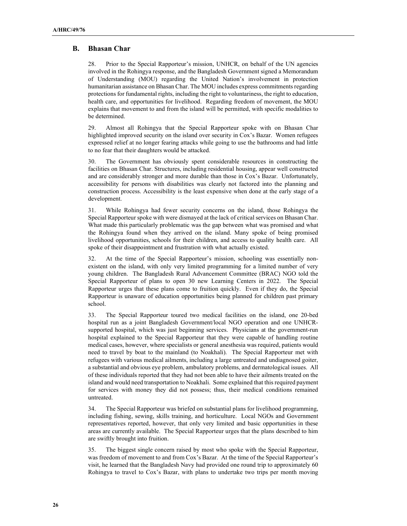#### **B. Bhasan Char**

28. Prior to the Special Rapporteur's mission, UNHCR, on behalf of the UN agencies involved in the Rohingya response, and the Bangladesh Government signed a Memorandum of Understanding (MOU) regarding the United Nation's involvement in protection humanitarian assistance on Bhasan Char. The MOU includes express commitments regarding protections for fundamental rights, including the right to voluntariness, the right to education, health care, and opportunities for livelihood. Regarding freedom of movement, the MOU explains that movement to and from the island will be permitted, with specific modalities to be determined.

29. Almost all Rohingya that the Special Rapporteur spoke with on Bhasan Char highlighted improved security on the island over security in Cox's Bazar. Women refugees expressed relief at no longer fearing attacks while going to use the bathrooms and had little to no fear that their daughters would be attacked.

30. The Government has obviously spent considerable resources in constructing the facilities on Bhasan Char. Structures, including residential housing, appear well constructed and are considerably stronger and more durable than those in Cox's Bazar. Unfortunately, accessibility for persons with disabilities was clearly not factored into the planning and construction process. Accessibility is the least expensive when done at the early stage of a development.

31. While Rohingya had fewer security concerns on the island, those Rohingya the Special Rapporteur spoke with were dismayed at the lack of critical services on Bhasan Char. What made this particularly problematic was the gap between what was promised and what the Rohingya found when they arrived on the island. Many spoke of being promised livelihood opportunities, schools for their children, and access to quality health care. All spoke of their disappointment and frustration with what actually existed.

32. At the time of the Special Rapporteur's mission, schooling was essentially nonexistent on the island, with only very limited programming for a limited number of very young children. The Bangladesh Rural Advancement Committee (BRAC) NGO told the Special Rapporteur of plans to open 30 new Learning Centers in 2022. The Special Rapporteur urges that these plans come to fruition quickly. Even if they do, the Special Rapporteur is unaware of education opportunities being planned for children past primary school.

33. The Special Rapporteur toured two medical facilities on the island, one 20-bed hospital run as a joint Bangladesh Government/local NGO operation and one UNHCRsupported hospital, which was just beginning services. Physicians at the government-run hospital explained to the Special Rapporteur that they were capable of handling routine medical cases, however, where specialists or general anesthesia was required, patients would need to travel by boat to the mainland (to Noakhali). The Special Rapporteur met with refugees with various medical ailments, including a large untreated and undiagnosed goiter, a substantial and obvious eye problem, ambulatory problems, and dermatological issues. All of these individuals reported that they had not been able to have their ailments treated on the island and would need transportation to Noakhali. Some explained that this required payment for services with money they did not possess; thus, their medical conditions remained untreated.

34. The Special Rapporteur was briefed on substantial plans for livelihood programming, including fishing, sewing, skills training, and horticulture. Local NGOs and Government representatives reported, however, that only very limited and basic opportunities in these areas are currently available. The Special Rapporteur urges that the plans described to him are swiftly brought into fruition.

35. The biggest single concern raised by most who spoke with the Special Rapporteur, was freedom of movement to and from Cox's Bazar. At the time of the Special Rapporteur's visit, he learned that the Bangladesh Navy had provided one round trip to approximately 60 Rohingya to travel to Cox's Bazar, with plans to undertake two trips per month moving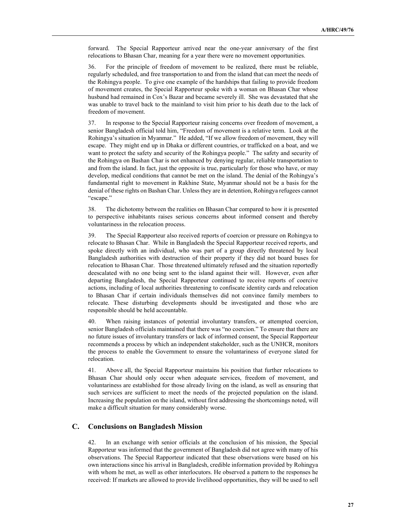forward. The Special Rapporteur arrived near the one-year anniversary of the first relocations to Bhasan Char, meaning for a year there were no movement opportunities.

36. For the principle of freedom of movement to be realized, there must be reliable, regularly scheduled, and free transportation to and from the island that can meet the needs of the Rohingya people. To give one example of the hardships that failing to provide freedom of movement creates, the Special Rapporteur spoke with a woman on Bhasan Char whose husband had remained in Cox's Bazar and became severely ill. She was devastated that she was unable to travel back to the mainland to visit him prior to his death due to the lack of freedom of movement.

37. In response to the Special Rapporteur raising concerns over freedom of movement, a senior Bangladesh official told him, "Freedom of movement is a relative term. Look at the Rohingya's situation in Myanmar." He added, "If we allow freedom of movement, they will escape. They might end up in Dhaka or different countries, or trafficked on a boat, and we want to protect the safety and security of the Rohingya people." The safety and security of the Rohingya on Bashan Char is not enhanced by denying regular, reliable transportation to and from the island. In fact, just the opposite is true, particularly for those who have, or may develop, medical conditions that cannot be met on the island. The denial of the Rohingya's fundamental right to movement in Rakhine State, Myanmar should not be a basis for the denial of these rights on Bashan Char. Unless they are in detention, Rohingya refugees cannot "escape."

38. The dichotomy between the realities on Bhasan Char compared to how it is presented to perspective inhabitants raises serious concerns about informed consent and thereby voluntariness in the relocation process.

39. The Special Rapporteur also received reports of coercion or pressure on Rohingya to relocate to Bhasan Char. While in Bangladesh the Special Rapporteur received reports, and spoke directly with an individual, who was part of a group directly threatened by local Bangladesh authorities with destruction of their property if they did not board buses for relocation to Bhasan Char. Those threatened ultimately refused and the situation reportedly deescalated with no one being sent to the island against their will. However, even after departing Bangladesh, the Special Rapporteur continued to receive reports of coercive actions, including of local authorities threatening to confiscate identity cards and relocation to Bhasan Char if certain individuals themselves did not convince family members to relocate. These disturbing developments should be investigated and those who are responsible should be held accountable.

40. When raising instances of potential involuntary transfers, or attempted coercion, senior Bangladesh officials maintained that there was "no coercion." To ensure that there are no future issues of involuntary transfers or lack of informed consent, the Special Rapporteur recommends a process by which an independent stakeholder, such as the UNHCR, monitors the process to enable the Government to ensure the voluntariness of everyone slated for relocation.

41. Above all, the Special Rapporteur maintains his position that further relocations to Bhasan Char should only occur when adequate services, freedom of movement, and voluntariness are established for those already living on the island, as well as ensuring that such services are sufficient to meet the needs of the projected population on the island. Increasing the population on the island, without first addressing the shortcomings noted, will make a difficult situation for many considerably worse.

## **C. Conclusions on Bangladesh Mission**

42. In an exchange with senior officials at the conclusion of his mission, the Special Rapporteur was informed that the government of Bangladesh did not agree with many of his observations. The Special Rapporteur indicated that these observations were based on his own interactions since his arrival in Bangladesh, credible information provided by Rohingya with whom he met, as well as other interlocutors. He observed a pattern to the responses he received: If markets are allowed to provide livelihood opportunities, they will be used to sell